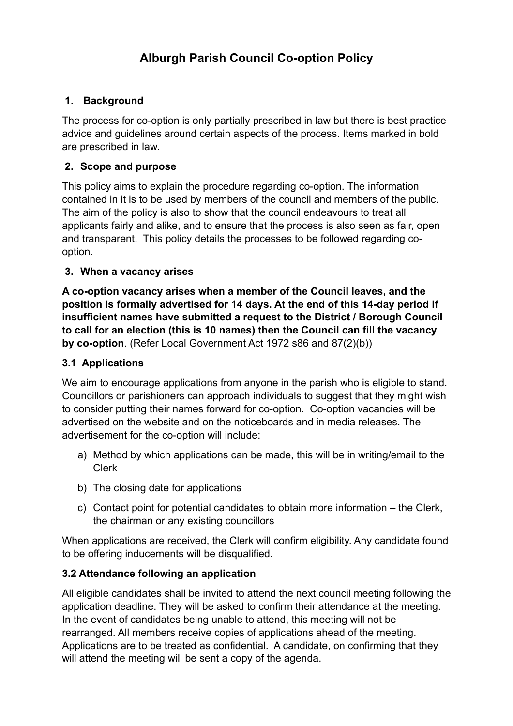# **Alburgh Parish Council Co-option Policy**

### **1. Background**

The process for co-option is only partially prescribed in law but there is best practice advice and guidelines around certain aspects of the process. Items marked in bold are prescribed in law.

### **2. Scope and purpose**

This policy aims to explain the procedure regarding co-option. The information contained in it is to be used by members of the council and members of the public. The aim of the policy is also to show that the council endeavours to treat all applicants fairly and alike, and to ensure that the process is also seen as fair, open and transparent. This policy details the processes to be followed regarding cooption.

### **3. When a vacancy arises**

**A co-option vacancy arises when a member of the Council leaves, and the position is formally advertised for 14 days. At the end of this 14-day period if insufficient names have submitted a request to the District / Borough Council to call for an election (this is 10 names) then the Council can fill the vacancy by co-option**. (Refer Local Government Act 1972 s86 and 87(2)(b))

### **3.1 Applications**

We aim to encourage applications from anyone in the parish who is eligible to stand. Councillors or parishioners can approach individuals to suggest that they might wish to consider putting their names forward for co-option. Co-option vacancies will be advertised on the website and on the noticeboards and in media releases. The advertisement for the co-option will include:

- a) Method by which applications can be made, this will be in writing/email to the Clerk
- b) The closing date for applications
- c) Contact point for potential candidates to obtain more information the Clerk, the chairman or any existing councillors

When applications are received, the Clerk will confirm eligibility. Any candidate found to be offering inducements will be disqualified.

# **3.2 Attendance following an application**

All eligible candidates shall be invited to attend the next council meeting following the application deadline. They will be asked to confirm their attendance at the meeting. In the event of candidates being unable to attend, this meeting will not be rearranged. All members receive copies of applications ahead of the meeting. Applications are to be treated as confidential. A candidate, on confirming that they will attend the meeting will be sent a copy of the agenda.